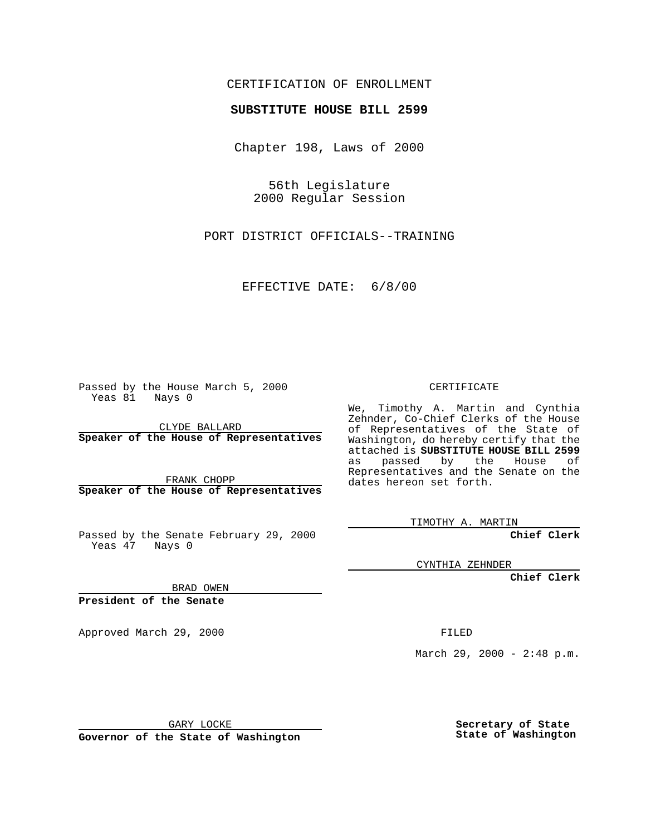## CERTIFICATION OF ENROLLMENT

# **SUBSTITUTE HOUSE BILL 2599**

Chapter 198, Laws of 2000

56th Legislature 2000 Regular Session

PORT DISTRICT OFFICIALS--TRAINING

EFFECTIVE DATE: 6/8/00

Passed by the House March 5, 2000 Yeas 81 Nays 0

CLYDE BALLARD **Speaker of the House of Representatives**

FRANK CHOPP **Speaker of the House of Representatives**

Passed by the Senate February 29, 2000 Yeas 47 Nays 0

CYNTHIA ZEHNDER

**Chief Clerk**

BRAD OWEN

**President of the Senate**

Approved March 29, 2000 FILED

March 29, 2000 - 2:48 p.m.

GARY LOCKE

**Governor of the State of Washington**

**Secretary of State State of Washington**

#### CERTIFICATE

We, Timothy A. Martin and Cynthia Zehnder, Co-Chief Clerks of the House of Representatives of the State of Washington, do hereby certify that the attached is **SUBSTITUTE HOUSE BILL 2599** as passed by the House of Representatives and the Senate on the dates hereon set forth.

**Chief Clerk**

TIMOTHY A. MARTIN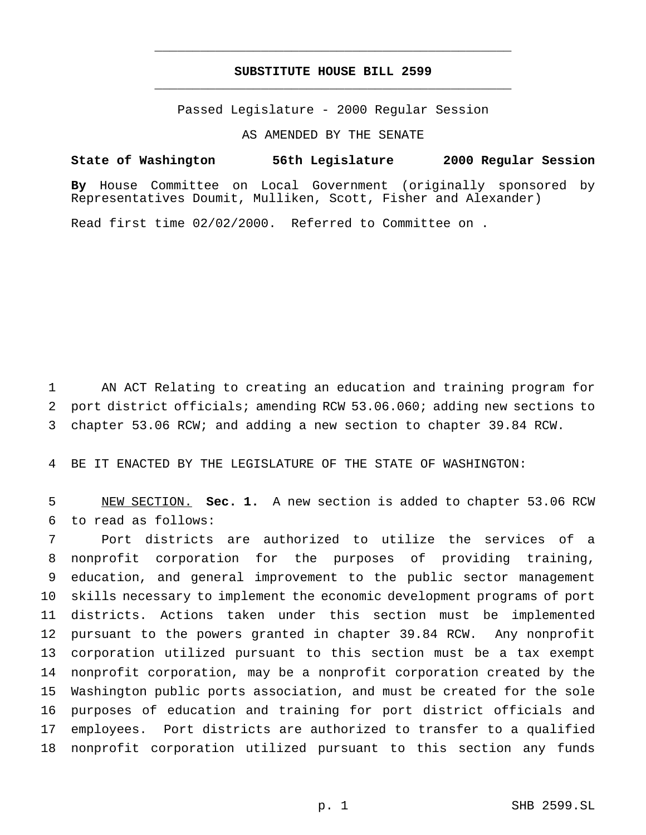## **SUBSTITUTE HOUSE BILL 2599** \_\_\_\_\_\_\_\_\_\_\_\_\_\_\_\_\_\_\_\_\_\_\_\_\_\_\_\_\_\_\_\_\_\_\_\_\_\_\_\_\_\_\_\_\_\_\_

\_\_\_\_\_\_\_\_\_\_\_\_\_\_\_\_\_\_\_\_\_\_\_\_\_\_\_\_\_\_\_\_\_\_\_\_\_\_\_\_\_\_\_\_\_\_\_

Passed Legislature - 2000 Regular Session

AS AMENDED BY THE SENATE

**State of Washington 56th Legislature 2000 Regular Session By** House Committee on Local Government (originally sponsored by

Representatives Doumit, Mulliken, Scott, Fisher and Alexander)

Read first time 02/02/2000. Referred to Committee on .

 AN ACT Relating to creating an education and training program for port district officials; amending RCW 53.06.060; adding new sections to chapter 53.06 RCW; and adding a new section to chapter 39.84 RCW.

BE IT ENACTED BY THE LEGISLATURE OF THE STATE OF WASHINGTON:

 NEW SECTION. **Sec. 1.** A new section is added to chapter 53.06 RCW to read as follows:

 Port districts are authorized to utilize the services of a nonprofit corporation for the purposes of providing training, education, and general improvement to the public sector management skills necessary to implement the economic development programs of port districts. Actions taken under this section must be implemented pursuant to the powers granted in chapter 39.84 RCW. Any nonprofit corporation utilized pursuant to this section must be a tax exempt nonprofit corporation, may be a nonprofit corporation created by the Washington public ports association, and must be created for the sole purposes of education and training for port district officials and employees. Port districts are authorized to transfer to a qualified nonprofit corporation utilized pursuant to this section any funds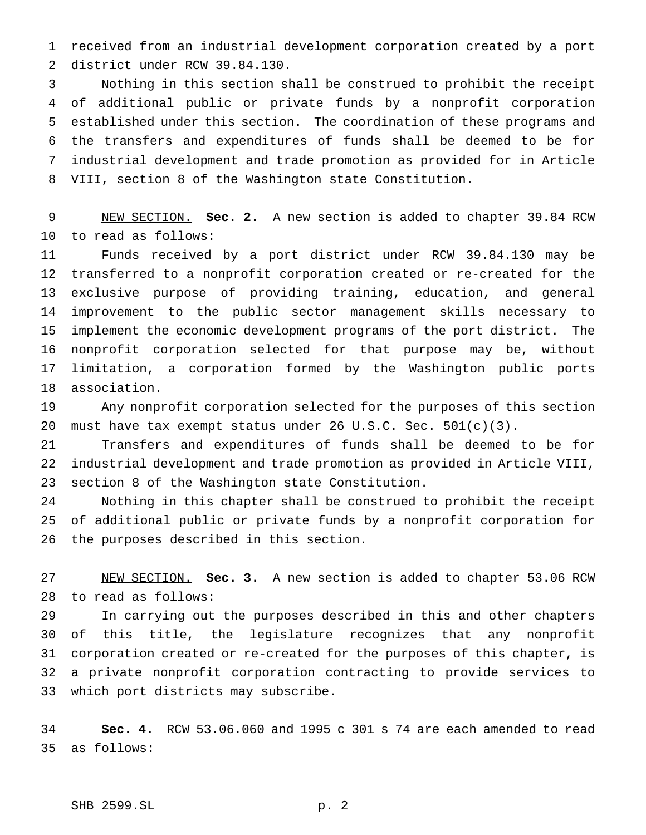received from an industrial development corporation created by a port district under RCW 39.84.130.

 Nothing in this section shall be construed to prohibit the receipt of additional public or private funds by a nonprofit corporation established under this section. The coordination of these programs and the transfers and expenditures of funds shall be deemed to be for industrial development and trade promotion as provided for in Article VIII, section 8 of the Washington state Constitution.

 NEW SECTION. **Sec. 2.** A new section is added to chapter 39.84 RCW to read as follows:

 Funds received by a port district under RCW 39.84.130 may be transferred to a nonprofit corporation created or re-created for the exclusive purpose of providing training, education, and general improvement to the public sector management skills necessary to implement the economic development programs of the port district. The nonprofit corporation selected for that purpose may be, without limitation, a corporation formed by the Washington public ports association.

 Any nonprofit corporation selected for the purposes of this section must have tax exempt status under 26 U.S.C. Sec. 501(c)(3).

 Transfers and expenditures of funds shall be deemed to be for industrial development and trade promotion as provided in Article VIII, section 8 of the Washington state Constitution.

 Nothing in this chapter shall be construed to prohibit the receipt of additional public or private funds by a nonprofit corporation for the purposes described in this section.

 NEW SECTION. **Sec. 3.** A new section is added to chapter 53.06 RCW to read as follows:

 In carrying out the purposes described in this and other chapters of this title, the legislature recognizes that any nonprofit corporation created or re-created for the purposes of this chapter, is a private nonprofit corporation contracting to provide services to which port districts may subscribe.

 **Sec. 4.** RCW 53.06.060 and 1995 c 301 s 74 are each amended to read as follows:

## SHB 2599.SL p. 2